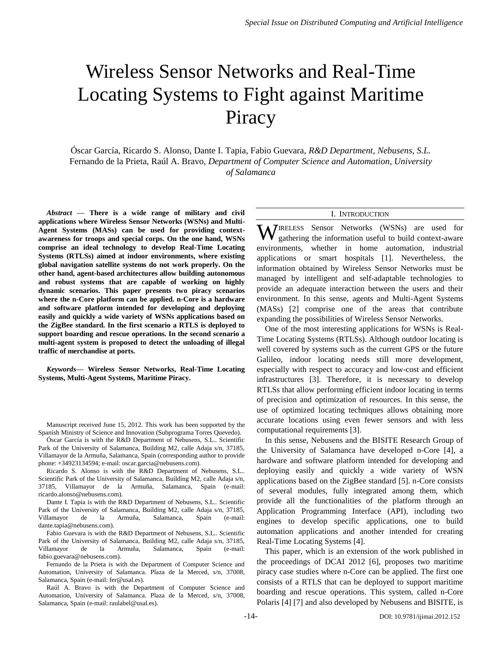# Wireless Sensor Networks and Real-Time Locating Systems to Fight against Maritime Piracy

Óscar García, Ricardo S. Alonso, Dante I. Tapia, Fabio Guevara, *R&D Department, Nebusens, S.L.* Fernando de la Prieta, Raúl A. Bravo, *Department of Computer Science and Automation, University of Salamanca*

*Abstract* **— There is a wide range of military and civil applications where Wireless Sensor Networks (WSNs) and Multi-Agent Systems (MASs) can be used for providing contextawareness for troops and special corps. On the one hand, WSNs comprise an ideal technology to develop Real-Time Locating Systems (RTLSs) aimed at indoor environments, where existing global navigation satellite systems do not work properly. On the other hand, agent-based architectures allow building autonomous and robust systems that are capable of working on highly dynamic scenarios. This paper presents two piracy scenarios where the n-Core platform can be applied. n-Core is a hardware and software platform intended for developing and deploying easily and quickly a wide variety of WSNs applications based on the ZigBee standard. In the first scenario a RTLS is deployed to support boarding and rescue operations. In the second scenario a multi-agent system is proposed to detect the unloading of illegal traffic of merchandise at ports.**

*Keywords***— Wireless Sensor Networks, Real-Time Locating Systems, Multi-Agent Systems, Maritime Piracy.**

Manuscript received June 15, 2012. This work has been supported by the Spanish Ministry of Science and Innovation (Subprograma Torres Quevedo).

Óscar García is with the R&D Department of Nebusens, S.L.. Scientific Park of the University of Salamanca, Building M2, calle Adaja s/n, 37185, Villamayor de la Armuña, Salamanca, Spain (corresponding author to provide phone: +34923134594; e-mail: oscar.garcia@nebusens.com).

Ricardo S. Alonso is with the R&D Department of Nebusens, S.L.. Scientific Park of the University of Salamanca, Building M2, calle Adaja s/n, 37185, Villamayor de la Armuña, Salamanca, Spain (e-mail: ricardo.alonso@nebusens.com).

Dante I. Tapia is with the R&D Department of Nebusens, S.L.. Scientific Park of the University of Salamanca, Building M2, calle Adaja s/n, 37185, Villamayor de la Armuña, Salamanca, Spain (e-mail: dante.tapia@nebusens.com).

Fabio Guevara is with the R&D Department of Nebusens, S.L.. Scientific Park of the University of Salamanca, Building M2, calle Adaja s/n, 37185, Villamayor de la Armuña, Salamanca, Spain (e-mail: fabio.guevara@nebusens.com).

Fernando de la Prieta is with the Department of Computer Science and Automation, University of Salamanca. Plaza de la Merced, s/n, 37008, Salamanca, Spain (e-mail: fer@usal.es).

Raúl A. Bravo is with the Department of Computer Science and Automation, University of Salamanca. Plaza de la Merced, s/n, 37008, Salamanca, Spain (e-mail: raulabel@usal.es).

#### I. INTRODUCTION

**W** IRELESS Sensor Networks (WSNs) are used for gathering the information useful to build context-aware gathering the information useful to build context-aware environments, whether in home automation, industrial applications or smart hospitals [1]. Nevertheless, the information obtained by Wireless Sensor Networks must be managed by intelligent and self-adaptable technologies to provide an adequate interaction between the users and their environment. In this sense, agents and Multi-Agent Systems (MASs) [2] comprise one of the areas that contribute expanding the possibilities of Wireless Sensor Networks.

One of the most interesting applications for WSNs is Real-Time Locating Systems (RTLSs). Although outdoor locating is well covered by systems such as the current GPS or the future Galileo, indoor locating needs still more development, especially with respect to accuracy and low-cost and efficient infrastructures [3]. Therefore, it is necessary to develop RTLSs that allow performing efficient indoor locating in terms of precision and optimization of resources. In this sense, the use of optimized locating techniques allows obtaining more accurate locations using even fewer sensors and with less computational requirements [3].

In this sense, Nebusens and the BISITE Research Group of the University of Salamanca have developed n-Core [4], a hardware and software platform intended for developing and deploying easily and quickly a wide variety of WSN applications based on the ZigBee standard [5]. n-Core consists of several modules, fully integrated among them, which provide all the functionalities of the platform through an Application Programming Interface (API), including two engines to develop specific applications, one to build automation applications and another intended for creating Real-Time Locating Systems [4].

This paper, which is an extension of the work published in the proceedings of DCAI 2012 [6], proposes two maritime piracy case studies where n-Core can be applied. The first one consists of a RTLS that can be deployed to support maritime boarding and rescue operations. This system, called n-Core Polaris [4] [7] and also developed by Nebusens and BISITE, is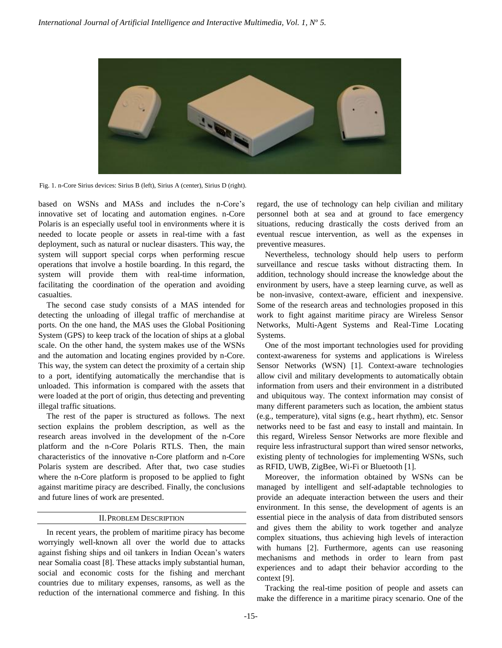

Fig. 1. n-Core Sirius devices: Sirius B (left), Sirius A (center), Sirius D (right).

based on WSNs and MASs and includes the n-Core's innovative set of locating and automation engines. n-Core Polaris is an especially useful tool in environments where it is needed to locate people or assets in real-time with a fast deployment, such as natural or nuclear disasters. This way, the system will support special corps when performing rescue operations that involve a hostile boarding. In this regard, the system will provide them with real-time information, facilitating the coordination of the operation and avoiding casualties.

The second case study consists of a MAS intended for detecting the unloading of illegal traffic of merchandise at ports. On the one hand, the MAS uses the Global Positioning System (GPS) to keep track of the location of ships at a global scale. On the other hand, the system makes use of the WSNs and the automation and locating engines provided by n-Core. This way, the system can detect the proximity of a certain ship to a port, identifying automatically the merchandise that is unloaded. This information is compared with the assets that were loaded at the port of origin, thus detecting and preventing illegal traffic situations.

The rest of the paper is structured as follows. The next section explains the problem description, as well as the research areas involved in the development of the n-Core platform and the n-Core Polaris RTLS. Then, the main characteristics of the innovative n-Core platform and n-Core Polaris system are described. After that, two case studies where the n-Core platform is proposed to be applied to fight against maritime piracy are described. Finally, the conclusions and future lines of work are presented.

#### II.PROBLEM DESCRIPTION

In recent years, the problem of maritime piracy has become worryingly well-known all over the world due to attacks against fishing ships and oil tankers in Indian Ocean's waters near Somalia coast [8]. These attacks imply substantial human, social and economic costs for the fishing and merchant countries due to military expenses, ransoms, as well as the reduction of the international commerce and fishing. In this

regard, the use of technology can help civilian and military personnel both at sea and at ground to face emergency situations, reducing drastically the costs derived from an eventual rescue intervention, as well as the expenses in preventive measures.

Nevertheless, technology should help users to perform surveillance and rescue tasks without distracting them. In addition, technology should increase the knowledge about the environment by users, have a steep learning curve, as well as be non-invasive, context-aware, efficient and inexpensive. Some of the research areas and technologies proposed in this work to fight against maritime piracy are Wireless Sensor Networks, Multi-Agent Systems and Real-Time Locating Systems.

One of the most important technologies used for providing context-awareness for systems and applications is Wireless Sensor Networks (WSN) [1]. Context-aware technologies allow civil and military developments to automatically obtain information from users and their environment in a distributed and ubiquitous way. The context information may consist of many different parameters such as location, the ambient status (e.g., temperature), vital signs (e.g., heart rhythm), etc. Sensor networks need to be fast and easy to install and maintain. In this regard, Wireless Sensor Networks are more flexible and require less infrastructural support than wired sensor networks, existing plenty of technologies for implementing WSNs, such as RFID, UWB, ZigBee, Wi-Fi or Bluetooth [1].

Moreover, the information obtained by WSNs can be managed by intelligent and self-adaptable technologies to provide an adequate interaction between the users and their environment. In this sense, the development of agents is an essential piece in the analysis of data from distributed sensors and gives them the ability to work together and analyze complex situations, thus achieving high levels of interaction with humans [2]. Furthermore, agents can use reasoning mechanisms and methods in order to learn from past experiences and to adapt their behavior according to the context [9].

Tracking the real-time position of people and assets can make the difference in a maritime piracy scenario. One of the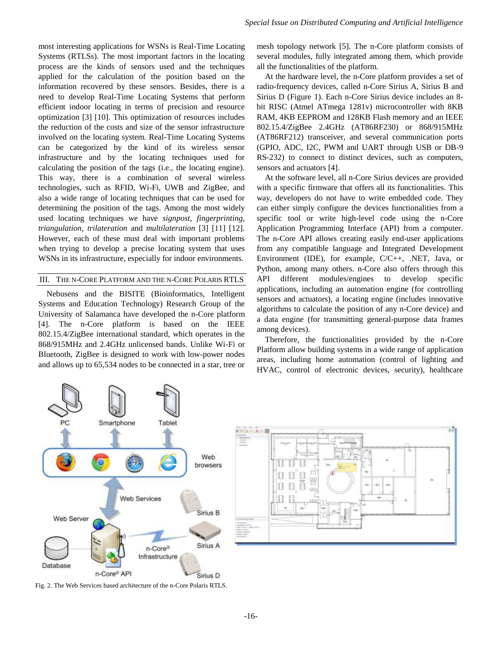most interesting applications for WSNs is Real-Time Locating Systems (RTLSs). The most important factors in the locating process are the kinds of sensors used and the techniques applied for the calculation of the position based on the information recovered by these sensors. Besides, there is a need to develop Real-Time Locating Systems that perform efficient indoor locating in terms of precision and resource optimization [3] [10]. This optimization of resources includes the reduction of the costs and size of the sensor infrastructure involved on the locating system. Real-Time Locating Systems can be categorized by the kind of its wireless sensor infrastructure and by the locating techniques used for calculating the position of the tags (i.e., the locating engine). This way, there is a combination of several wireless technologies, such as RFID, Wi-Fi, UWB and ZigBee, and also a wide range of locating techniques that can be used for determining the position of the tags. Among the most widely used locating techniques we have *signpost*, *fingerprinting*, *triangulation*, *trilateration* and *multilateration* [3] [11] [12]. However, each of these must deal with important problems when trying to develop a precise locating system that uses WSNs in its infrastructure, especially for indoor environments.

## III. THE N-CORE PLATFORM AND THE N-CORE POLARIS RTLS

Nebusens and the BISITE (Bioinformatics, Intelligent Systems and Education Technology) Research Group of the University of Salamanca have developed the n-Core platform [4]. The n-Core platform is based on the IEEE 802.15.4/ZigBee international standard, which operates in the 868/915MHz and 2.4GHz unlicensed bands. Unlike Wi-Fi or Bluetooth, ZigBee is designed to work with low-power nodes and allows up to 65,534 nodes to be connected in a star, tree or

Table

Web browsers

Sirius B

mesh topology network [5]. The n-Core platform consists of several modules, fully integrated among them, which provide all the functionalities of the platform.

At the hardware level, the n-Core platform provides a set of radio-frequency devices, called n-Core Sirius A, Sirius B and Sirius D (Figure 1). Each n-Core Sirius device includes an 8 bit RISC (Atmel ATmega 1281v) microcontroller with 8KB RAM, 4KB EEPROM and 128KB Flash memory and an IEEE 802.15.4/ZigBee 2.4GHz (AT86RF230) or 868/915MHz (AT86RF212) transceiver, and several communication ports (GPIO, ADC, I2C, PWM and UART through USB or DB-9 RS-232) to connect to distinct devices, such as computers, sensors and actuators [4].

At the software level, all n-Core Sirius devices are provided with a specific firmware that offers all its functionalities. This way, developers do not have to write embedded code. They can either simply configure the devices functionalities from a specific tool or write high-level code using the n-Core Application Programming Interface (API) from a computer. The n-Core API allows creating easily end-user applications from any compatible language and Integrated Development Environment (IDE), for example, C/C++, .NET, Java, or Python, among many others. n-Core also offers through this API different modules/engines to develop specific applications, including an automation engine (for controlling sensors and actuators), a locating engine (includes innovative algorithms to calculate the position of any n-Core device) and a data engine (for transmitting general-purpose data frames among devices).

Therefore, the functionalities provided by the n-Core Platform allow building systems in a wide range of application areas, including home automation (control of lighting and HVAC, control of electronic devices, security), healthcare



Web Services

Smartphone

Web Server

Fig. 2. The Web Services based architecture of the n-Core Polaris RTLS.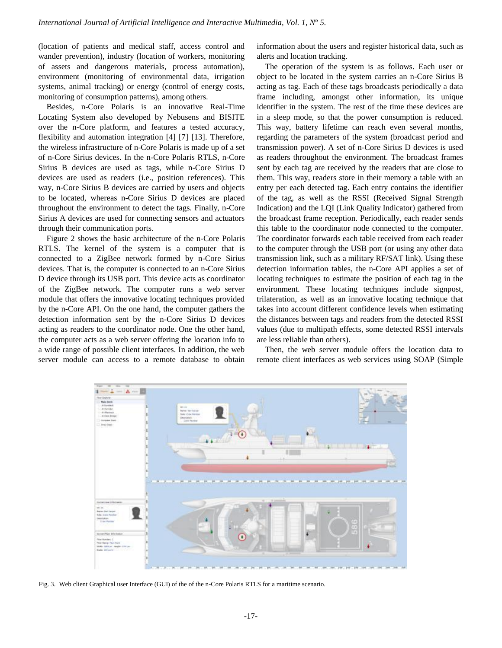(location of patients and medical staff, access control and wander prevention), industry (location of workers, monitoring of assets and dangerous materials, process automation), environment (monitoring of environmental data, irrigation systems, animal tracking) or energy (control of energy costs, monitoring of consumption patterns), among others.

Besides, n-Core Polaris is an innovative Real-Time Locating System also developed by Nebusens and BISITE over the n-Core platform, and features a tested accuracy, flexibility and automation integration [4] [7] [13]. Therefore, the wireless infrastructure of n-Core Polaris is made up of a set of n-Core Sirius devices. In the n-Core Polaris RTLS, n-Core Sirius B devices are used as tags, while n-Core Sirius D devices are used as readers (i.e., position references). This way, n-Core Sirius B devices are carried by users and objects to be located, whereas n-Core Sirius D devices are placed throughout the environment to detect the tags. Finally, n-Core Sirius A devices are used for connecting sensors and actuators through their communication ports.

Figure 2 shows the basic architecture of the n-Core Polaris RTLS. The kernel of the system is a computer that is connected to a ZigBee network formed by n-Core Sirius devices. That is, the computer is connected to an n-Core Sirius D device through its USB port. This device acts as coordinator of the ZigBee network. The computer runs a web server module that offers the innovative locating techniques provided by the n-Core API. On the one hand, the computer gathers the detection information sent by the n-Core Sirius D devices acting as readers to the coordinator node. One the other hand, the computer acts as a web server offering the location info to a wide range of possible client interfaces. In addition, the web server module can access to a remote database to obtain

information about the users and register historical data, such as alerts and location tracking.

The operation of the system is as follows. Each user or object to be located in the system carries an n-Core Sirius B acting as tag. Each of these tags broadcasts periodically a data frame including, amongst other information, its unique identifier in the system. The rest of the time these devices are in a sleep mode, so that the power consumption is reduced. This way, battery lifetime can reach even several months, regarding the parameters of the system (broadcast period and transmission power). A set of n-Core Sirius D devices is used as readers throughout the environment. The broadcast frames sent by each tag are received by the readers that are close to them. This way, readers store in their memory a table with an entry per each detected tag. Each entry contains the identifier of the tag, as well as the RSSI (Received Signal Strength Indication) and the LQI (Link Quality Indicator) gathered from the broadcast frame reception. Periodically, each reader sends this table to the coordinator node connected to the computer. The coordinator forwards each table received from each reader to the computer through the USB port (or using any other data transmission link, such as a military RF/SAT link). Using these detection information tables, the n-Core API applies a set of locating techniques to estimate the position of each tag in the environment. These locating techniques include signpost, trilateration, as well as an innovative locating technique that takes into account different confidence levels when estimating the distances between tags and readers from the detected RSSI values (due to multipath effects, some detected RSSI intervals are less reliable than others).

Then, the web server module offers the location data to remote client interfaces as web services using SOAP (Simple



Fig. 3. Web client Graphical user Interface (GUI) of the of the n-Core Polaris RTLS for a maritime scenario.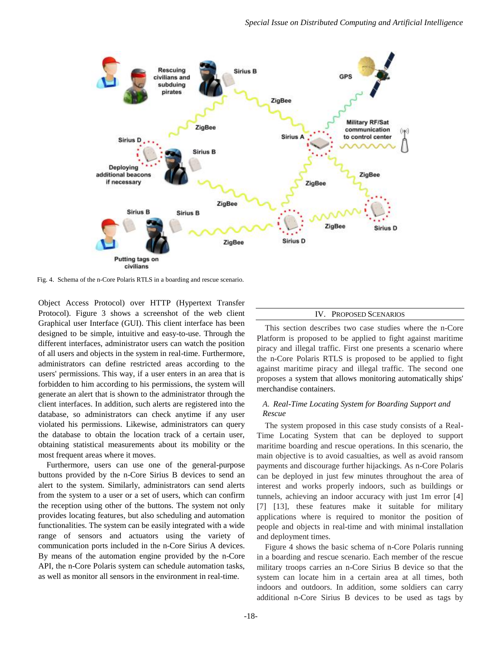

Fig. 4. Schema of the n-Core Polaris RTLS in a boarding and rescue scenario.

Object Access Protocol) over HTTP (Hypertext Transfer Protocol). Figure 3 shows a screenshot of the web client Graphical user Interface (GUI). This client interface has been designed to be simple, intuitive and easy-to-use. Through the different interfaces, administrator users can watch the position of all users and objects in the system in real-time. Furthermore, administrators can define restricted areas according to the users' permissions. This way, if a user enters in an area that is forbidden to him according to his permissions, the system will generate an alert that is shown to the administrator through the client interfaces. In addition, such alerts are registered into the database, so administrators can check anytime if any user violated his permissions. Likewise, administrators can query the database to obtain the location track of a certain user, obtaining statistical measurements about its mobility or the most frequent areas where it moves.

Furthermore, users can use one of the general-purpose buttons provided by the n-Core Sirius B devices to send an alert to the system. Similarly, administrators can send alerts from the system to a user or a set of users, which can confirm the reception using other of the buttons. The system not only provides locating features, but also scheduling and automation functionalities. The system can be easily integrated with a wide range of sensors and actuators using the variety of communication ports included in the n-Core Sirius A devices. By means of the automation engine provided by the n-Core API, the n-Core Polaris system can schedule automation tasks, as well as monitor all sensors in the environment in real-time.

IV. PROPOSED SCENARIOS

This section describes two case studies where the n-Core Platform is proposed to be applied to fight against maritime piracy and illegal traffic. First one presents a scenario where the n-Core Polaris RTLS is proposed to be applied to fight against maritime piracy and illegal traffic. The second one proposes a system that allows monitoring automatically ships' merchandise containers.

# *A. Real-Time Locating System for Boarding Support and Rescue*

The system proposed in this case study consists of a Real-Time Locating System that can be deployed to support maritime boarding and rescue operations. In this scenario, the main objective is to avoid casualties, as well as avoid ransom payments and discourage further hijackings. As n-Core Polaris can be deployed in just few minutes throughout the area of interest and works properly indoors, such as buildings or tunnels, achieving an indoor accuracy with just 1m error [4] [7] [13], these features make it suitable for military applications where is required to monitor the position of people and objects in real-time and with minimal installation and deployment times.

Figure 4 shows the basic schema of n-Core Polaris running in a boarding and rescue scenario. Each member of the rescue military troops carries an n-Core Sirius B device so that the system can locate him in a certain area at all times, both indoors and outdoors. In addition, some soldiers can carry additional n-Core Sirius B devices to be used as tags by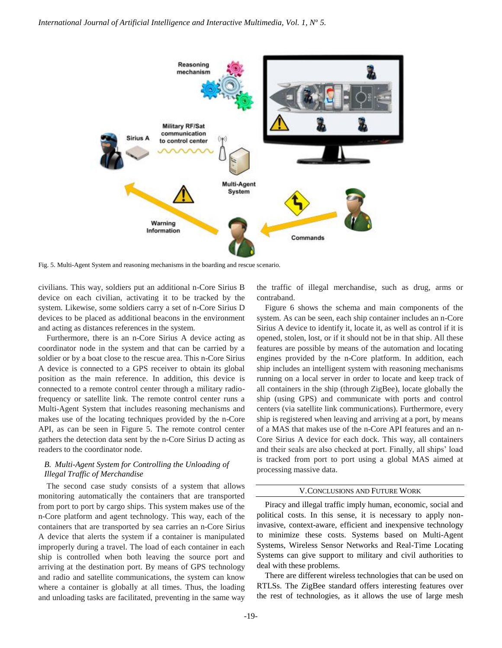

Fig. 5. Multi-Agent System and reasoning mechanisms in the boarding and rescue scenario.

civilians. This way, soldiers put an additional n-Core Sirius B device on each civilian, activating it to be tracked by the system. Likewise, some soldiers carry a set of n-Core Sirius D devices to be placed as additional beacons in the environment and acting as distances references in the system.

Furthermore, there is an n-Core Sirius A device acting as coordinator node in the system and that can be carried by a soldier or by a boat close to the rescue area. This n-Core Sirius A device is connected to a GPS receiver to obtain its global position as the main reference. In addition, this device is connected to a remote control center through a military radiofrequency or satellite link. The remote control center runs a Multi-Agent System that includes reasoning mechanisms and makes use of the locating techniques provided by the n-Core API, as can be seen in Figure 5. The remote control center gathers the detection data sent by the n-Core Sirius D acting as readers to the coordinator node.

# *B. Multi-Agent System for Controlling the Unloading of Illegal Traffic of Merchandise*

The second case study consists of a system that allows monitoring automatically the containers that are transported from port to port by cargo ships. This system makes use of the n-Core platform and agent technology. This way, each of the containers that are transported by sea carries an n-Core Sirius A device that alerts the system if a container is manipulated improperly during a travel. The load of each container in each ship is controlled when both leaving the source port and arriving at the destination port. By means of GPS technology and radio and satellite communications, the system can know where a container is globally at all times. Thus, the loading and unloading tasks are facilitated, preventing in the same way

the traffic of illegal merchandise, such as drug, arms or contraband.

Figure 6 shows the schema and main components of the system. As can be seen, each ship container includes an n-Core Sirius A device to identify it, locate it, as well as control if it is opened, stolen, lost, or if it should not be in that ship. All these features are possible by means of the automation and locating engines provided by the n-Core platform. In addition, each ship includes an intelligent system with reasoning mechanisms running on a local server in order to locate and keep track of all containers in the ship (through ZigBee), locate globally the ship (using GPS) and communicate with ports and control centers (via satellite link communications). Furthermore, every ship is registered when leaving and arriving at a port, by means of a MAS that makes use of the n-Core API features and an n-Core Sirius A device for each dock. This way, all containers and their seals are also checked at port. Finally, all ships' load is tracked from port to port using a global MAS aimed at processing massive data.

#### V.CONCLUSIONS AND FUTURE WORK

Piracy and illegal traffic imply human, economic, social and political costs. In this sense, it is necessary to apply noninvasive, context-aware, efficient and inexpensive technology to minimize these costs. Systems based on Multi-Agent Systems, Wireless Sensor Networks and Real-Time Locating Systems can give support to military and civil authorities to deal with these problems.

There are different wireless technologies that can be used on RTLSs. The ZigBee standard offers interesting features over the rest of technologies, as it allows the use of large mesh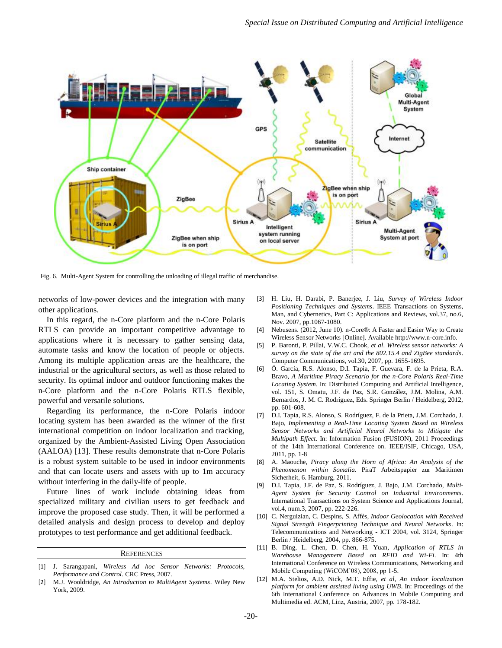

Fig. 6. Multi-Agent System for controlling the unloading of illegal traffic of merchandise.

networks of low-power devices and the integration with many other applications.

In this regard, the n-Core platform and the n-Core Polaris RTLS can provide an important competitive advantage to applications where it is necessary to gather sensing data, automate tasks and know the location of people or objects. Among its multiple application areas are the healthcare, the industrial or the agricultural sectors, as well as those related to security. Its optimal indoor and outdoor functioning makes the n-Core platform and the n-Core Polaris RTLS flexible, powerful and versatile solutions.

Regarding its performance, the n-Core Polaris indoor locating system has been awarded as the winner of the first international competition on indoor localization and tracking, organized by the Ambient-Assisted Living Open Association (AALOA) [13]. These results demonstrate that n-Core Polaris is a robust system suitable to be used in indoor environments and that can locate users and assets with up to 1m accuracy without interfering in the daily-life of people.

Future lines of work include obtaining ideas from specialized military and civilian users to get feedback and improve the proposed case study. Then, it will be performed a detailed analysis and design process to develop and deploy prototypes to test performance and get additional feedback.

## **REFERENCES**

- [1] J. Sarangapani, *Wireless Ad hoc Sensor Networks: Protocols, Performance and Control*. CRC Press, 2007.
- [2] M.J. Wooldridge, *An Introduction to MultiAgent Systems*. Wiley New York, 2009.
- [3] H. Liu, H. Darabi, P. Banerjee, J. Liu, *Survey of Wireless Indoor Positioning Techniques and Systems*. IEEE Transactions on Systems, Man, and Cybernetics, Part C: Applications and Reviews, vol.37, no.6, Nov. 2007, pp.1067-1080.
- [4] Nebusens. (2012, June 10). n-Core®: A Faster and Easier Way to Create Wireless Sensor Networks [Online]. Available http://www.n-core.info.
- [5] P. Baronti, P. Pillai, V.W.C. Chook, *et al*. *Wireless sensor networks: A survey on the state of the art and the 802.15.4 and ZigBee standards*. Computer Communications, vol.30, 2007, pp. 1655-1695.
- [6] Ó. García, R.S. Alonso, D.I. Tapia, F. Guevara, F. de la Prieta, R.A. Bravo, *A Maritime Piracy Scenario for the n-Core Polaris Real-Time Locating System.* In: Distributed Computing and Artificial Intelligence, vol. 151, S. Omatu, J.F. de Paz, S.R. González, J.M. Molina, A.M. Bernardos, J. M. C. Rodríguez, Eds. Springer Berlin / Heidelberg, 2012, pp. 601-608.
- [7] D.I. Tapia, R.S. Alonso, S. Rodríguez, F. de la Prieta, J.M. Corchado, J. Bajo, *Implementing a Real-Time Locating System Based on Wireless Sensor Networks and Artificial Neural Networks to Mitigate the Multipath Effect*. In: Information Fusion (FUSION), 2011 Proceedings of the 14th International Conference on. IEEE/ISIF, Chicago, USA, 2011, pp. 1-8
- [8] A. Maouche, *Piracy along the Horn of Africa: An Analysis of the Phenomenon within Somalia*. PiraT Arbeitspapier zur Maritimen Sicherheit, 6. Hamburg, 2011.
- [9] D.I. Tapia, J.F. de Paz, S. Rodríguez, J. Bajo, J.M. Corchado, *Multi-Agent System for Security Control on Industrial Environments*. International Transactions on System Science and Applications Journal, vol.4, num.3, 2007, pp. 222-226.
- [10] C. Nerguizian, C. Despins, S. Affès, *Indoor Geolocation with Received Signal Strength Fingerprinting Technique and Neural Networks*. In: Telecommunications and Networking - ICT 2004, vol. 3124, Springer Berlin / Heidelberg, 2004, pp. 866-875.
- [11] B. Ding, L. Chen, D. Chen, H. Yuan, *Application of RTLS in Warehouse Management Based on RFID and Wi-Fi*. In: 4th International Conference on Wireless Communications, Networking and Mobile Computing (WiCOM'08), 2008, pp 1-5.
- [12] M.A. Stelios, A.D. Nick, M.T. Effie, *et al*, *An indoor localization platform for ambient assisted living using UWB*. In: Proceedings of the 6th International Conference on Advances in Mobile Computing and Multimedia ed. ACM, Linz, Austria, 2007, pp. 178-182.